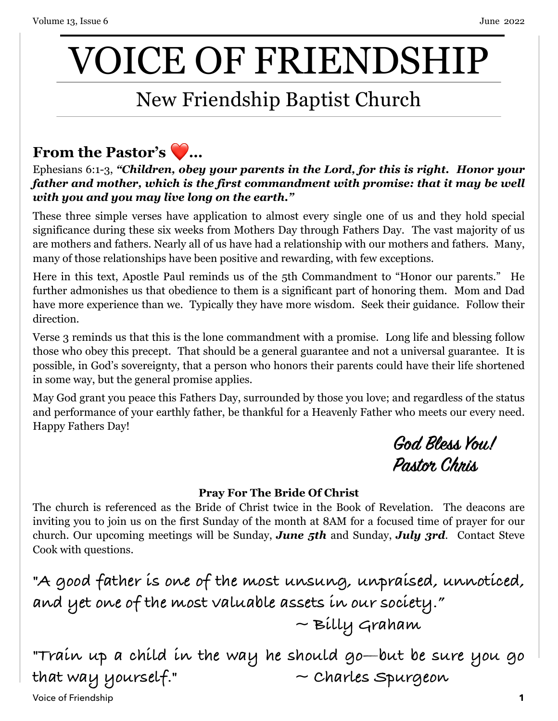# VOICE OF FRIENDSHIP

## New Friendship Baptist Church

### **From the Pastor's** ❤ **…**

Ephesians 6:1-3, *"Children, obey your parents in the Lord, for this is right. Honor your father and mother, which is the first commandment with promise: that it may be well with you and you may live long on the earth."*

These three simple verses have application to almost every single one of us and they hold special significance during these six weeks from Mothers Day through Fathers Day. The vast majority of us are mothers and fathers. Nearly all of us have had a relationship with our mothers and fathers. Many, many of those relationships have been positive and rewarding, with few exceptions.

Here in this text, Apostle Paul reminds us of the 5th Commandment to "Honor our parents." He further admonishes us that obedience to them is a significant part of honoring them. Mom and Dad have more experience than we. Typically they have more wisdom. Seek their guidance. Follow their direction.

Verse 3 reminds us that this is the lone commandment with a promise. Long life and blessing follow those who obey this precept. That should be a general guarantee and not a universal guarantee. It is possible, in God's sovereignty, that a person who honors their parents could have their life shortened in some way, but the general promise applies.

May God grant you peace this Fathers Day, surrounded by those you love; and regardless of the status and performance of your earthly father, be thankful for a Heavenly Father who meets our every need. Happy Fathers Day!

> **God Bless You! Pastor Chris**

#### **Pray For The Bride Of Christ**

The church is referenced as the Bride of Christ twice in the Book of Revelation. The deacons are inviting you to join us on the first Sunday of the month at 8AM for a focused time of prayer for our church. Our upcoming meetings will be Sunday, *June 5th* and Sunday, *July 3rd*. Contact Steve Cook with questions.

```
"A good father is one of the most unsung, unpraised, unnoticed, 
and yet one of the most valuable assets in our society."
                                  ~ Billy Graham
```
**"Train up a child in the way he should go—but be sure you go that way yourself." ~ Charles Spurgeon**

Voice of Friendship **1**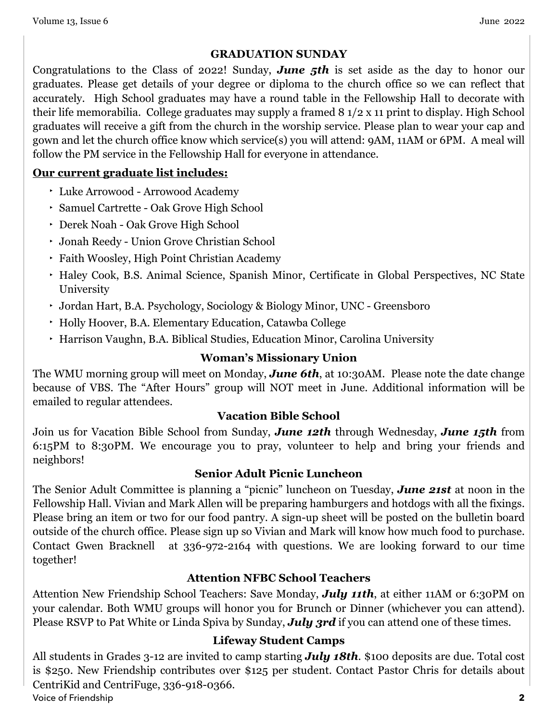#### **GRADUATION SUNDAY**

Congratulations to the Class of 2022! Sunday, *June 5th* is set aside as the day to honor our graduates. Please get details of your degree or diploma to the church office so we can reflect that accurately. High School graduates may have a round table in the Fellowship Hall to decorate with their life memorabilia. College graduates may supply a framed 8 1/2 x 11 print to display. High School graduates will receive a gift from the church in the worship service. Please plan to wear your cap and gown and let the church office know which service(s) you will attend: 9AM, 11AM or 6PM. A meal will follow the PM service in the Fellowship Hall for everyone in attendance.

#### **Our current graduate list includes:**

- ‣ Luke Arrowood Arrowood Academy
- ‣ Samuel Cartrette Oak Grove High School
- ‣ Derek Noah Oak Grove High School
- ‣ Jonah Reedy Union Grove Christian School
- ‣ Faith Woosley, High Point Christian Academy
- ‣ Haley Cook, B.S. Animal Science, Spanish Minor, Certificate in Global Perspectives, NC State University
- ‣ Jordan Hart, B.A. Psychology, Sociology & Biology Minor, UNC Greensboro
- ‣ Holly Hoover, B.A. Elementary Education, Catawba College
- ‣ Harrison Vaughn, B.A. Biblical Studies, Education Minor, Carolina University

#### **Woman's Missionary Union**

The WMU morning group will meet on Monday, *June 6th*, at 10:30AM. Please note the date change because of VBS. The "After Hours" group will NOT meet in June. Additional information will be emailed to regular attendees.

#### **Vacation Bible School**

Join us for Vacation Bible School from Sunday, *June 12th* through Wednesday, *June 15th* from 6:15PM to 8:30PM. We encourage you to pray, volunteer to help and bring your friends and neighbors!

#### **Senior Adult Picnic Luncheon**

The Senior Adult Committee is planning a "picnic" luncheon on Tuesday, *June 21st* at noon in the Fellowship Hall. Vivian and Mark Allen will be preparing hamburgers and hotdogs with all the fixings. Please bring an item or two for our food pantry. A sign-up sheet will be posted on the bulletin board outside of the church office. Please sign up so Vivian and Mark will know how much food to purchase. Contact Gwen Bracknell at 336-972-2164 with questions. We are looking forward to our time together!

#### **Attention NFBC School Teachers**

Attention New Friendship School Teachers: Save Monday, *July 11th*, at either 11AM or 6:30PM on your calendar. Both WMU groups will honor you for Brunch or Dinner (whichever you can attend). Please RSVP to Pat White or Linda Spiva by Sunday, *July 3rd* if you can attend one of these times.

#### **Lifeway Student Camps**

All students in Grades 3-12 are invited to camp starting *July 18th*. \$100 deposits are due. Total cost is \$250. New Friendship contributes over \$125 per student. Contact Pastor Chris for details about CentriKid and CentriFuge, 336-918-0366. Voice of Friendship **2**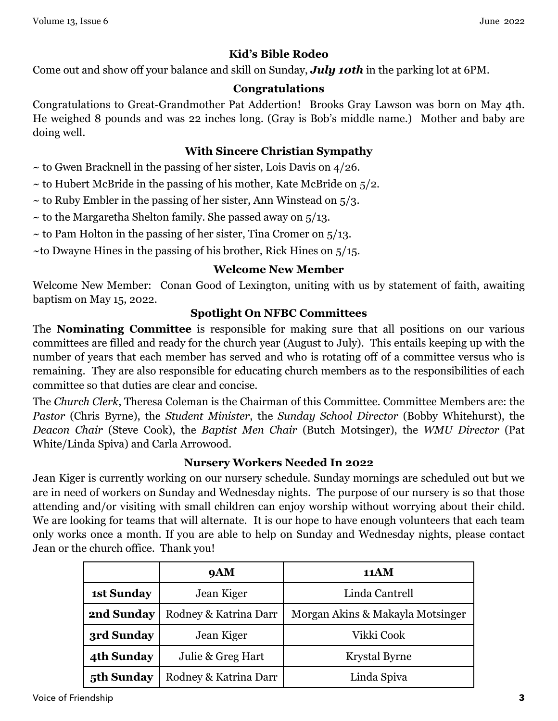#### **Kid's Bible Rodeo**

Come out and show off your balance and skill on Sunday, *July 10th* in the parking lot at 6PM.

#### **Congratulations**

Congratulations to Great-Grandmother Pat Addertion! Brooks Gray Lawson was born on May 4th. He weighed 8 pounds and was 22 inches long. (Gray is Bob's middle name.) Mother and baby are doing well.

#### **With Sincere Christian Sympathy**

- $\sim$  to Gwen Bracknell in the passing of her sister, Lois Davis on 4/26.
- $\sim$  to Hubert McBride in the passing of his mother, Kate McBride on  $5/2$ .
- $\sim$  to Ruby Embler in the passing of her sister, Ann Winstead on  $5/3$ .
- $\sim$  to the Margaretha Shelton family. She passed away on  $\frac{5}{13}$ .
- $\sim$  to Pam Holton in the passing of her sister, Tina Cromer on  $5/13$ .
- ~to Dwayne Hines in the passing of his brother, Rick Hines on  $5/15$ .

#### **Welcome New Member**

Welcome New Member: Conan Good of Lexington, uniting with us by statement of faith, awaiting baptism on May 15, 2022.

#### **Spotlight On NFBC Committees**

The **Nominating Committee** is responsible for making sure that all positions on our various committees are filled and ready for the church year (August to July). This entails keeping up with the number of years that each member has served and who is rotating off of a committee versus who is remaining. They are also responsible for educating church members as to the responsibilities of each committee so that duties are clear and concise.

The *Church Clerk*, Theresa Coleman is the Chairman of this Committee. Committee Members are: the *Pastor* (Chris Byrne), the *Student Minister*, the *Sunday School Director* (Bobby Whitehurst), the *Deacon Chair* (Steve Cook), the *Baptist Men Chair* (Butch Motsinger), the *WMU Director* (Pat White/Linda Spiva) and Carla Arrowood.

#### **Nursery Workers Needed In 2022**

Jean Kiger is currently working on our nursery schedule. Sunday mornings are scheduled out but we are in need of workers on Sunday and Wednesday nights. The purpose of our nursery is so that those attending and/or visiting with small children can enjoy worship without worrying about their child. We are looking for teams that will alternate. It is our hope to have enough volunteers that each team only works once a month. If you are able to help on Sunday and Wednesday nights, please contact Jean or the church office. Thank you!

|                   | <b>9AM</b>            | 11AM                             |
|-------------------|-----------------------|----------------------------------|
| <b>1st Sunday</b> | Jean Kiger            | Linda Cantrell                   |
| 2nd Sunday        | Rodney & Katrina Darr | Morgan Akins & Makayla Motsinger |
| 3rd Sunday        | Jean Kiger            | Vikki Cook                       |
| 4th Sunday        | Julie & Greg Hart     | Krystal Byrne                    |
| 5th Sunday        | Rodney & Katrina Darr | Linda Spiva                      |